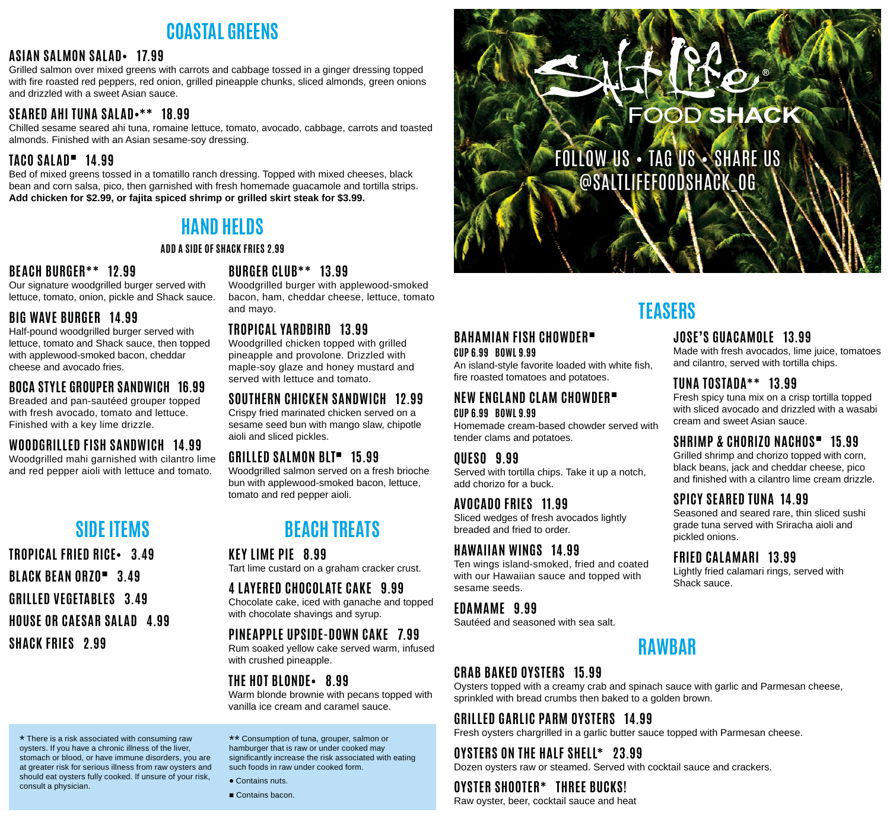## **COASTAL GREENS**

#### **ASIAN SALMON SALAD• 17.99**

Grilled salmon over mixed greens with carrots and cabbage tossed in a ginger dressing topped with fire roasted red peppers, red onion, grilled pineapple chunks, sliced almonds, green onions and drizzled with a sweet Asian sauce.

#### **SEARED AHI TUNA SALAD•\*\* 18.99**

Chilled sesame seared ahi tuna, romaine lettuce, tomato, avocado, cabbage, carrots and toasted almonds. Finished with an Asian sesame-soy dressing.

#### **TACO SALAD**■ **14.99**

Bed of mixed greens tossed in a tomatillo ranch dressing. Topped with mixed cheeses, black bean and corn salsa, pico, then garnished with fresh homemade guacamole and tortilla strips. **Add chicken for \$2.99, or fajita spiced shrimp or grilled skirt steak for \$3.99.**

## **HAND HELDS**

#### **ADD A SIDE OF SHACK FRIES 2.99**

#### **BEACH BURGER\*\* 12.99**

Our signature woodgrilled burger served with lettuce, tomato, onion, pickle and Shack sauce.

#### **BIG WAVE BURGER 14.99**

Half-pound woodgrilled burger served with lettuce, tomato and Shack sauce, then topped with applewood-smoked bacon, cheddar cheese and avocado fries.

#### **BOCA STYLE GROUPER SANDWICH 16.99**

Breaded and pan-sautéed grouper topped with fresh avocado, tomato and lettuce. Finished with a key lime drizzle.

#### **WOODGRILLED FISH SANDWICH 14.99**

Woodgrilled mahi garnished with cilantro lime and red pepper aioli with lettuce and tomato.

## **SIDE ITEMS**

**TROPICAL FRIED RICE• 3.49 BLACK BEAN ORZO**■ **3.49 GRILLED VEGETABLES 3.49 HOUSE OR CAESAR SALAD 4.99 SHACK FRIES 2.99**

#### **BURGER CLUB\*\* 13.99**

Woodgrilled burger with applewood-smoked bacon, ham, cheddar cheese, lettuce, tomato and mayo.

#### **TROPICAL YARDBIRD 13.99**

Woodgrilled chicken topped with grilled pineapple and provolone. Drizzled with maple-soy glaze and honey mustard and served with lettuce and tomato.

#### **SOUTHERN CHICKEN SANDWICH 12.99**

Crispy fried marinated chicken served on a sesame seed bun with mango slaw, chipotle aioli and sliced pickles.

#### **GRILLED SALMON BLT**■ **15.99**

Woodgrilled salmon served on a fresh brioche bun with applewood-smoked bacon, lettuce, tomato and red pepper aioli.

## **BEACH TREATS**

**KEY LIME PIE 8.99**

Tart lime custard on a graham cracker crust.

#### **4 LAYERED CHOCOLATE CAKE 9.99**

Chocolate cake, iced with ganache and topped with chocolate shavings and syrup.

#### **PINEAPPLE UPSIDE-DOWN CAKE 7.99**

Rum soaked yellow cake served warm, infused with crushed pineapple.

#### **THE HOT BLONDE• 8.99**

Warm blonde brownie with pecans topped with vanilla ice cream and caramel sauce.

\* There is a risk associated with consuming raw oysters. If you have a chronic illness of the liver, stomach or blood, or have immune disorders, you are at greater risk for serious illness from raw oysters and should eat oysters fully cooked. If unsure of your risk, consult a physician.

\*\* Consumption of tuna, grouper, salmon or hamburger that is raw or under cooked may significantly increase the risk associated with eating such foods in raw under cooked form.

• Contains nuts.

■ Contains bacon.

# **FOOD SHACK**

FOLLOW US • TAG US • SHARE US @SALTLIFEFOODSHACK\_OG

## **TEASERS**

#### **JOSE'S GUACAMOLE 13.99**

Made with fresh avocados, lime juice, tomatoes and cilantro, served with tortilla chips.

#### **TUNA TOSTADA\*\* 13.99**

Fresh spicy tuna mix on a crisp tortilla topped with sliced avocado and drizzled with a wasabi cream and sweet Asian sauce.

#### **SHRIMP & CHORIZO NACHOS**■ **15.99**

Grilled shrimp and chorizo topped with corn, black beans, jack and cheddar cheese, pico and finished with a cilantro lime cream drizzle.

#### **SPICY SEARED TUNA 14.99**

Seasoned and seared rare, thin sliced sushi grade tuna served with Sriracha aioli and pickled onions.

#### **FRIED CALAMARI 13.99**

Lightly fried calamari rings, served with Shack sauce.

## **EDAMAME 9.99**

**BAHAMIAN FISH CHOWDER**■

fire roasted tomatoes and potatoes.

**NEW ENGLAND CLAM CHOWDER**■

An island-style favorite loaded with white fish,

Homemade cream-based chowder served with

Served with tortilla chips. Take it up a notch,

Ten wings island-smoked, fried and coated with our Hawaiian sauce and topped with

Sliced wedges of fresh avocados lightly

**CUP 6.99 BOWL 9.99**

**CUP 6.99 BOWL 9.99**

**QUESO 9.99**

sesame seeds.

tender clams and potatoes.

add chorizo for a buck.

**AVOCADO FRIES 11.99**

breaded and fried to order.

**HAWAIIAN WINGS 14.99**

Sautéed and seasoned with sea salt.

#### **CRAB BAKED OYSTERS 15.99**

Oysters topped with a creamy crab and spinach sauce with garlic and Parmesan cheese, sprinkled with bread crumbs then baked to a golden brown.

#### **GRILLED GARLIC PARM OYSTERS 14.99**

Fresh oysters chargrilled in a garlic butter sauce topped with Parmesan cheese.

#### **OYSTERS ON THE HALF SHELL\* 23.99**

Dozen oysters raw or steamed. Served with cocktail sauce and crackers.

#### **OYSTER SHOOTER\* THREE BUCKS!**

Raw oyster, beer, cocktail sauce and heat